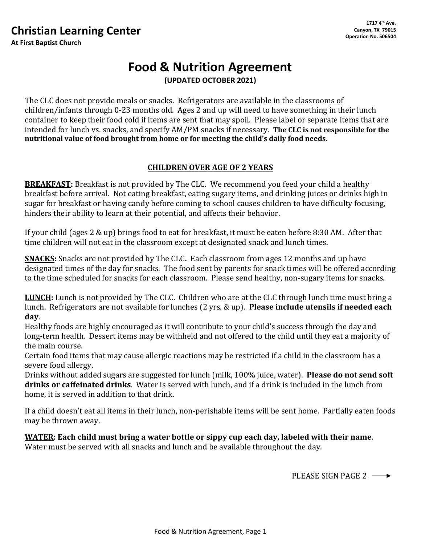## **Christian Learning Center**

**At First Baptist Church**

# **Food & Nutrition Agreement (UPDATED OCTOBER 2021)**

The CLC does not provide meals or snacks. Refrigerators are available in the classrooms of children/infants through 0-23 months old. Ages 2 and up will need to have something in their lunch container to keep their food cold if items are sent that may spoil. Please label or separate items that are intended for lunch vs. snacks, and specify AM/PM snacks if necessary. **The CLC is not responsible for the nutritional value of food brought from home or for meeting the child's daily food needs**.

### **CHILDREN OVER AGE OF 2 YEARS**

**BREAKFAST:** Breakfast is not provided by The CLC. We recommend you feed your child a healthy breakfast before arrival. Not eating breakfast, eating sugary items, and drinking juices or drinks high in sugar for breakfast or having candy before coming to school causes children to have difficulty focusing, hinders their ability to learn at their potential, and affects their behavior.

If your child (ages 2 & up) brings food to eat for breakfast, it must be eaten before 8:30 AM. After that time children will not eat in the classroom except at designated snack and lunch times.

**SNACKS:** Snacks are not provided by The CLC**.** Each classroom from ages 12 months and up have designated times of the day for snacks. The food sent by parents for snack times will be offered according to the time scheduled for snacks for each classroom. Please send healthy, non-sugary items for snacks.

**LUNCH:** Lunch is not provided by The CLC. Children who are at the CLC through lunch time must bring a lunch. Refrigerators are not available for lunches (2 yrs. & up). **Please include utensils if needed each day**.

Healthy foods are highly encouraged as it will contribute to your child's success through the day and long-term health. Dessert items may be withheld and not offered to the child until they eat a majority of the main course.

Certain food items that may cause allergic reactions may be restricted if a child in the classroom has a severe food allergy.

Drinks without added sugars are suggested for lunch (milk, 100% juice, water). **Please do not send soft drinks or caffeinated drinks**. Water is served with lunch, and if a drink is included in the lunch from home, it is served in addition to that drink.

If a child doesn't eat all items in their lunch, non-perishable items will be sent home. Partially eaten foods may be thrown away.

**WATER: Each child must bring a water bottle or sippy cup each day, labeled with their name**. Water must be served with all snacks and lunch and be available throughout the day.

PLEASE SIGN PAGE 2 -